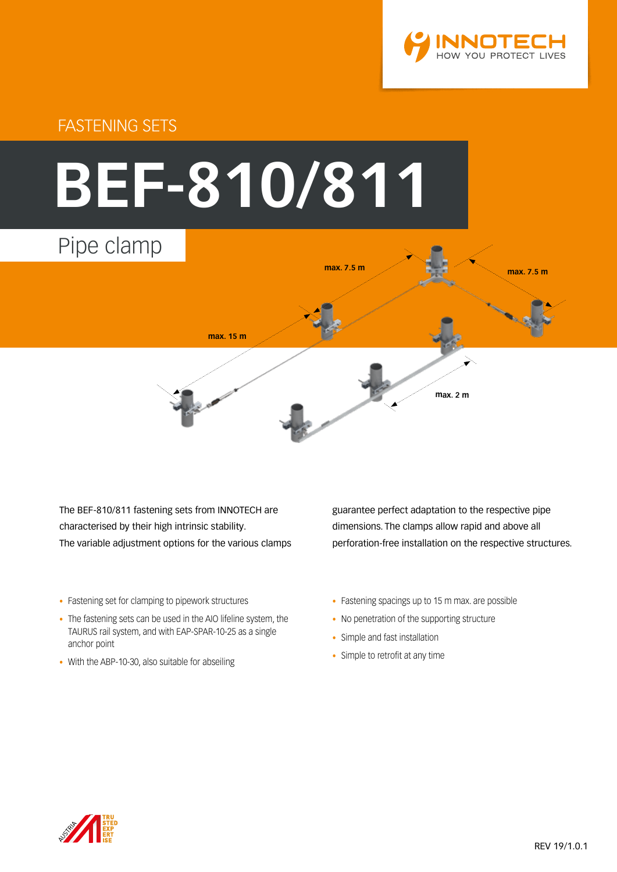

# FASTENING SETS



The BEF-810/811 fastening sets from INNOTECH are characterised by their high intrinsic stability. The variable adjustment options for the various clamps

- Fastening set for clamping to pipework structures
- The fastening sets can be used in the AIO lifeline system, the TAURUS rail system, and with EAP-SPAR-10-25 as a single anchor point
- With the ABP-10-30, also suitable for abseiling

guarantee perfect adaptation to the respective pipe dimensions. The clamps allow rapid and above all perforation-free installation on the respective structures.

- Fastening spacings up to 15 m max. are possible
- No penetration of the supporting structure
- Simple and fast installation
- Simple to retrofit at any time

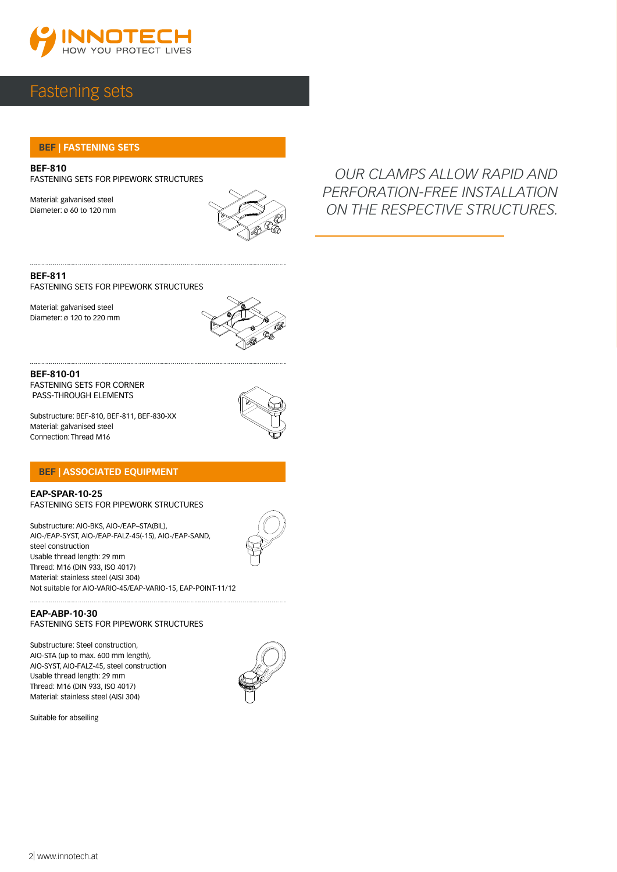

### Fastening sets

#### **BEF | FASTENING SETS**

**BEF-810** FASTENING SETS FOR PIPEWORK STRUCTURES

Material: galvanised steel Diameter: ø 60 to 120 mm



*OUR CLAMPS ALLOW RAPID AND PERFORATION-FREE INSTALLATION ON THE RESPECTIVE STRUCTURES.*

**BEF-811** FASTENING SETS FOR PIPEWORK STRUCTURES

Material: galvanised steel Diameter: ø 120 to 220 mm



**BEF-810-01** FASTENING SETS FOR CORNER PASS-THROUGH ELEMENTS

Substructure: BEF-810, BEF-811, BEF-830-XX Material: galvanised steel Connection: Thread M16



#### **BEF | ASSOCIATED EQUIPMENT**

**EAP-SPAR-10-25** FASTENING SETS FOR PIPEWORK STRUCTURES

Substructure: AIO-BKS, AIO-/EAP–STA(BIL), AIO-/EAP-SYST, AIO-/EAP-FALZ-45(-15), AIO-/EAP-SAND, steel construction Usable thread length: 29 mm Thread: M16 (DIN 933, ISO 4017) Material: stainless steel (AISI 304) Not suitable for AIO-VARIO-45/EAP-VARIO-15, EAP-POINT-11/12

#### **EAP-ABP-10-30** FASTENING SETS FOR PIPEWORK STRUCTURES

Substructure: Steel construction, AIO-STA (up to max. 600 mm length), AIO-SYST, AIO-FALZ-45, steel construction Usable thread length: 29 mm Thread: M16 (DIN 933, ISO 4017) Material: stainless steel (AISI 304)



Suitable for abseiling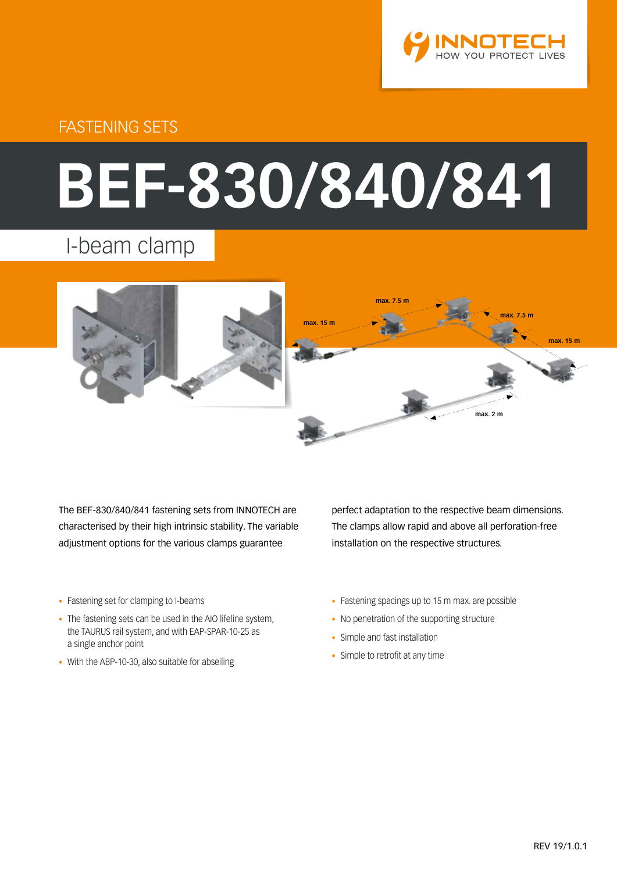

# FASTENING SETS

# **BEF-830/840/841**

# I-beam clamp



The BEF-830/840/841 fastening sets from INNOTECH are characterised by their high intrinsic stability. The variable adjustment options for the various clamps guarantee

- Fastening set for clamping to I-beams
- The fastening sets can be used in the AIO lifeline system, the TAURUS rail system, and with EAP-SPAR-10-25 as a single anchor point
- With the ABP-10-30, also suitable for abseiling

perfect adaptation to the respective beam dimensions. The clamps allow rapid and above all perforation-free installation on the respective structures.

- Fastening spacings up to 15 m max. are possible
- No penetration of the supporting structure
- Simple and fast installation
- Simple to retrofit at any time